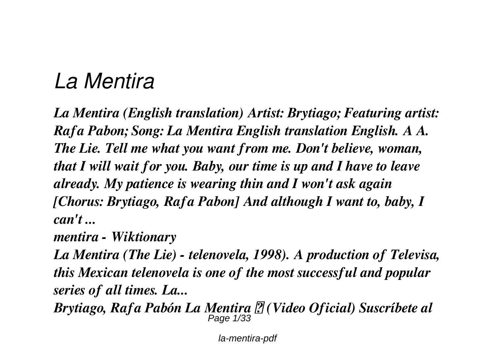# *La Mentira*

*La Mentira (English translation) Artist: Brytiago; Featuring artist: Rafa Pabon; Song: La Mentira English translation English. A A. The Lie. Tell me what you want from me. Don't believe, woman, that I will wait for you. Baby, our time is up and I have to leave already. My patience is wearing thin and I won't ask again [Chorus: Brytiago, Rafa Pabon] And although I want to, baby, I can't ...*

*mentira - Wiktionary*

*La Mentira (The Lie) - telenovela, 1998). A production of Televisa, this Mexican telenovela is one of the most successful and popular series of all times. La...*

*Brytiago, Rafa Pabón La Mentira ⚠ (Video Oficial) Suscríbete al* Page 1/33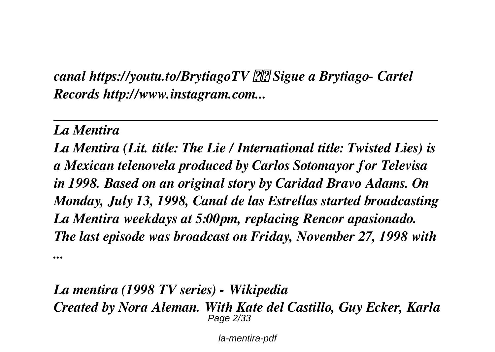*canal https://youtu.to/BrytiagoTV Sigue a Brytiago- Cartel Records http://www.instagram.com...*

*La Mentira*

*La Mentira (Lit. title: The Lie / International title: Twisted Lies) is a Mexican telenovela produced by Carlos Sotomayor for Televisa in 1998. Based on an original story by Caridad Bravo Adams. On Monday, July 13, 1998, Canal de las Estrellas started broadcasting La Mentira weekdays at 5:00pm, replacing Rencor apasionado. The last episode was broadcast on Friday, November 27, 1998 with ...*

*La mentira (1998 TV series) - Wikipedia Created by Nora Aleman. With Kate del Castillo, Guy Ecker, Karla* Page 2/33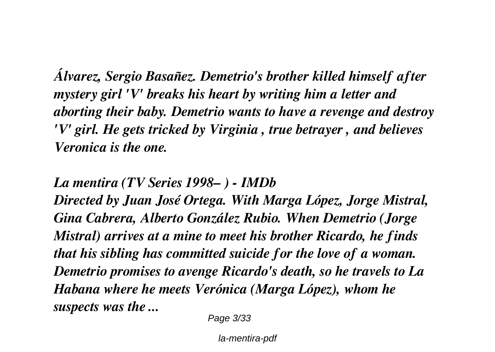*Álvarez, Sergio Basañez. Demetrio's brother killed himself after mystery girl 'V' breaks his heart by writing him a letter and aborting their baby. Demetrio wants to have a revenge and destroy 'V' girl. He gets tricked by Virginia , true betrayer , and believes Veronica is the one.*

*La mentira (TV Series 1998– ) - IMDb*

*Directed by Juan José Ortega. With Marga López, Jorge Mistral, Gina Cabrera, Alberto González Rubio. When Demetrio (Jorge Mistral) arrives at a mine to meet his brother Ricardo, he finds that his sibling has committed suicide for the love of a woman. Demetrio promises to avenge Ricardo's death, so he travels to La Habana where he meets Verónica (Marga López), whom he suspects was the ...*

Page 3/33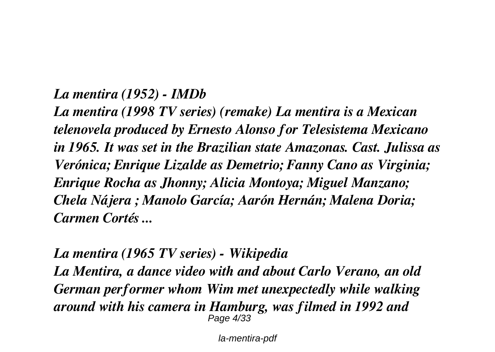#### *La mentira (1952) - IMDb*

*La mentira (1998 TV series) (remake) La mentira is a Mexican telenovela produced by Ernesto Alonso for Telesistema Mexicano in 1965. It was set in the Brazilian state Amazonas. Cast. Julissa as Verónica; Enrique Lizalde as Demetrio; Fanny Cano as Virginia; Enrique Rocha as Jhonny; Alicia Montoya; Miguel Manzano; Chela Nájera ; Manolo García; Aarón Hernán; Malena Doria; Carmen Cortés ...*

*La mentira (1965 TV series) - Wikipedia La Mentira, a dance video with and about Carlo Verano, an old German performer whom Wim met unexpectedly while walking around with his camera in Hamburg, was filmed in 1992 and* Page 4/33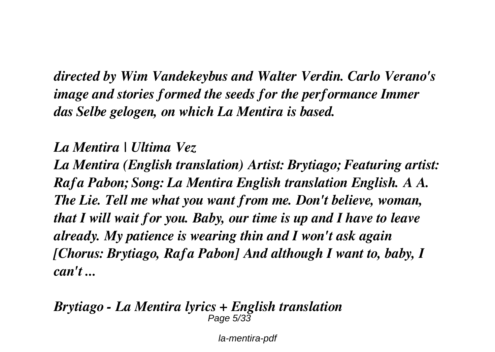*directed by Wim Vandekeybus and Walter Verdin. Carlo Verano's image and stories formed the seeds for the performance Immer das Selbe gelogen, on which La Mentira is based.*

*La Mentira | Ultima Vez*

*La Mentira (English translation) Artist: Brytiago; Featuring artist: Rafa Pabon; Song: La Mentira English translation English. A A. The Lie. Tell me what you want from me. Don't believe, woman, that I will wait for you. Baby, our time is up and I have to leave already. My patience is wearing thin and I won't ask again [Chorus: Brytiago, Rafa Pabon] And although I want to, baby, I can't ...*

#### *Brytiago - La Mentira lyrics + English translation* Page 5/33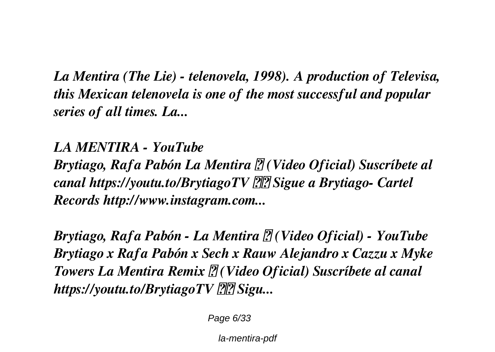*La Mentira (The Lie) - telenovela, 1998). A production of Televisa, this Mexican telenovela is one of the most successful and popular series of all times. La...*

*LA MENTIRA - YouTube Brytiago, Rafa Pabón La Mentira ⚠ (Video Oficial) Suscríbete al canal https://youtu.to/BrytiagoTV Sigue a Brytiago- Cartel Records http://www.instagram.com...*

*Brytiago, Rafa Pabón - La Mentira ⚠ (Video Oficial) - YouTube Brytiago x Rafa Pabón x Sech x Rauw Alejandro x Cazzu x Myke Towers La Mentira Remix ⚠ (Video Oficial) Suscríbete al canal https://youtu.to/BrytiagoTV Sigu...*

Page 6/33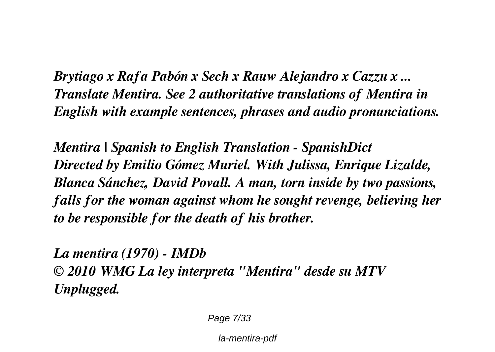*Brytiago x Rafa Pabón x Sech x Rauw Alejandro x Cazzu x ... Translate Mentira. See 2 authoritative translations of Mentira in English with example sentences, phrases and audio pronunciations.*

*Mentira | Spanish to English Translation - SpanishDict Directed by Emilio Gómez Muriel. With Julissa, Enrique Lizalde, Blanca Sánchez, David Povall. A man, torn inside by two passions, falls for the woman against whom he sought revenge, believing her to be responsible for the death of his brother.*

*La mentira (1970) - IMDb © 2010 WMG La ley interpreta "Mentira" desde su MTV Unplugged.*

Page 7/33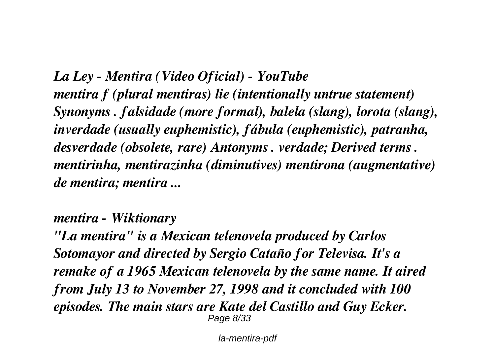*La Ley - Mentira (Video Oficial) - YouTube mentira f (plural mentiras) lie (intentionally untrue statement) Synonyms . falsidade (more formal), balela (slang), lorota (slang), inverdade (usually euphemistic), fábula (euphemistic), patranha, desverdade (obsolete, rare) Antonyms . verdade; Derived terms . mentirinha, mentirazinha (diminutives) mentirona (augmentative) de mentira; mentira ...*

*mentira - Wiktionary*

*"La mentira" is a Mexican telenovela produced by Carlos Sotomayor and directed by Sergio Cataño for Televisa. It's a remake of a 1965 Mexican telenovela by the same name. It aired from July 13 to November 27, 1998 and it concluded with 100 episodes. The main stars are Kate del Castillo and Guy Ecker.* Page 8/33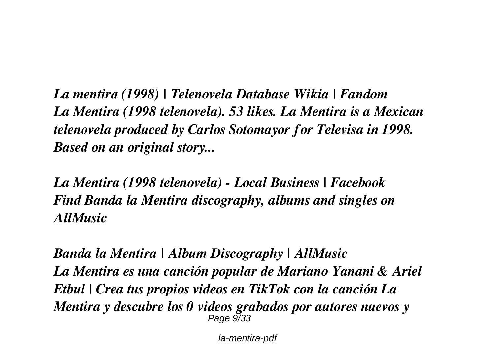*La mentira (1998) | Telenovela Database Wikia | Fandom La Mentira (1998 telenovela). 53 likes. La Mentira is a Mexican telenovela produced by Carlos Sotomayor for Televisa in 1998. Based on an original story...*

*La Mentira (1998 telenovela) - Local Business | Facebook Find Banda la Mentira discography, albums and singles on AllMusic*

*Banda la Mentira | Album Discography | AllMusic La Mentira es una canción popular de Mariano Yanani & Ariel Etbul | Crea tus propios videos en TikTok con la canción La Mentira y descubre los 0 videos grabados por autores nuevos y* Page  $9/33$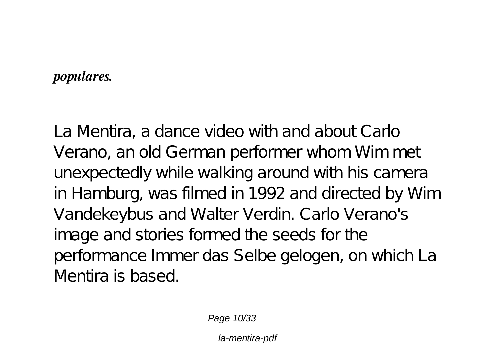#### *populares.*

La Mentira, a dance video with and about Carlo Verano, an old German performer whom Wim met unexpectedly while walking around with his camera in Hamburg, was filmed in 1992 and directed by Wim Vandekeybus and Walter Verdin. Carlo Verano's image and stories formed the seeds for the performance Immer das Selbe gelogen, on which La Mentira is based.

Page 10/33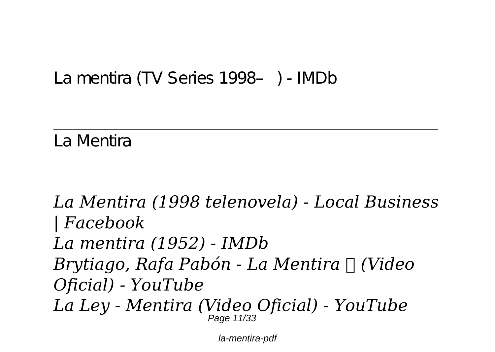#### *La mentira (TV Series 1998– ) - IMDb*

*La Mentira*

*La Mentira (1998 telenovela) - Local Business | Facebook La mentira (1952) - IMDb Brytiago, Rafa Pabón - La Mentira ⚠ (Video Oficial) - YouTube La Ley - Mentira (Video Oficial) - YouTube* Page 11/33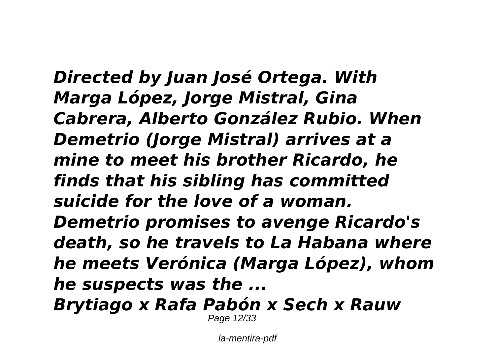*Directed by Juan José Ortega. With Marga López, Jorge Mistral, Gina Cabrera, Alberto González Rubio. When Demetrio (Jorge Mistral) arrives at a mine to meet his brother Ricardo, he finds that his sibling has committed suicide for the love of a woman. Demetrio promises to avenge Ricardo's death, so he travels to La Habana where he meets Verónica (Marga López), whom he suspects was the ... Brytiago x Rafa Pabón x Sech x Rauw*

Page 12/33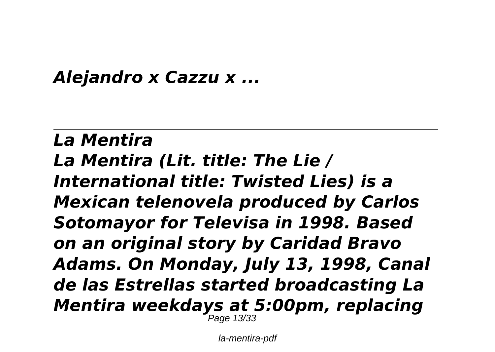#### *Alejandro x Cazzu x ...*

#### *La Mentira La Mentira (Lit. title: The Lie / International title: Twisted Lies) is a Mexican telenovela produced by Carlos Sotomayor for Televisa in 1998. Based on an original story by Caridad Bravo Adams. On Monday, July 13, 1998, Canal de las Estrellas started broadcasting La Mentira weekdays at 5:00pm, replacing* Page 13/33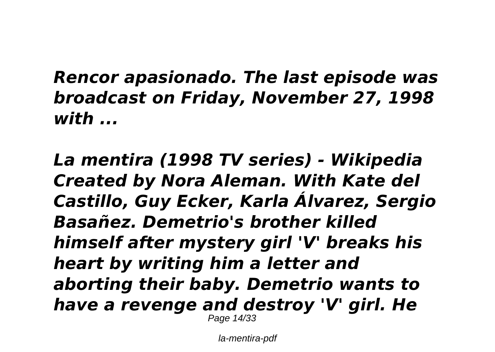*Rencor apasionado. The last episode was broadcast on Friday, November 27, 1998 with ...*

*La mentira (1998 TV series) - Wikipedia Created by Nora Aleman. With Kate del Castillo, Guy Ecker, Karla Álvarez, Sergio Basañez. Demetrio's brother killed himself after mystery girl 'V' breaks his heart by writing him a letter and aborting their baby. Demetrio wants to have a revenge and destroy 'V' girl. He* Page 14/33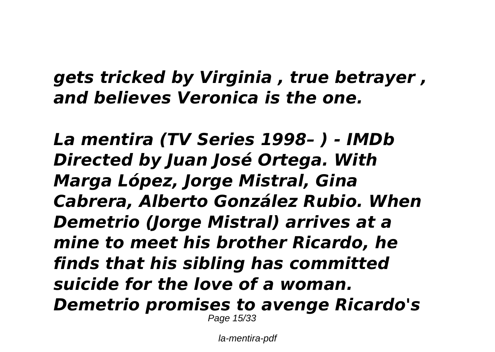#### *gets tricked by Virginia , true betrayer , and believes Veronica is the one.*

*La mentira (TV Series 1998– ) - IMDb Directed by Juan José Ortega. With Marga López, Jorge Mistral, Gina Cabrera, Alberto González Rubio. When Demetrio (Jorge Mistral) arrives at a mine to meet his brother Ricardo, he finds that his sibling has committed suicide for the love of a woman. Demetrio promises to avenge Ricardo's* Page 15/33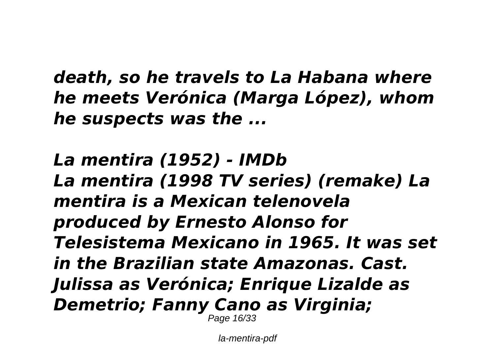*death, so he travels to La Habana where he meets Verónica (Marga López), whom he suspects was the ...*

*La mentira (1952) - IMDb La mentira (1998 TV series) (remake) La mentira is a Mexican telenovela produced by Ernesto Alonso for Telesistema Mexicano in 1965. It was set in the Brazilian state Amazonas. Cast. Julissa as Verónica; Enrique Lizalde as Demetrio; Fanny Cano as Virginia;* Page 16/33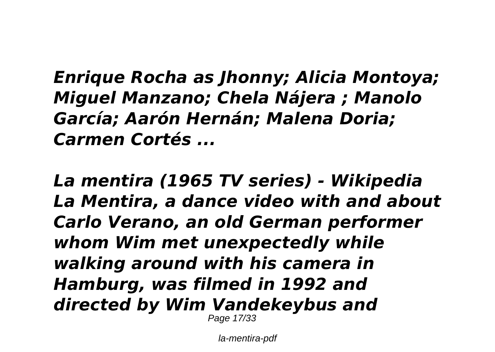*Enrique Rocha as Jhonny; Alicia Montoya; Miguel Manzano; Chela Nájera ; Manolo García; Aarón Hernán; Malena Doria; Carmen Cortés ...*

*La mentira (1965 TV series) - Wikipedia La Mentira, a dance video with and about Carlo Verano, an old German performer whom Wim met unexpectedly while walking around with his camera in Hamburg, was filmed in 1992 and directed by Wim Vandekeybus and* Page 17/33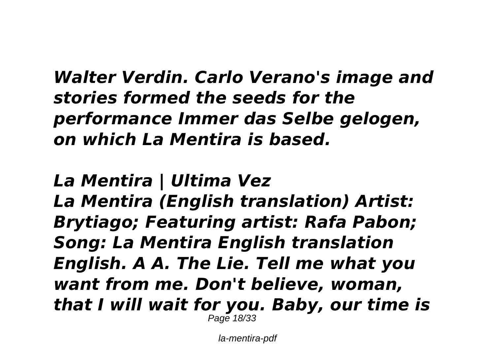*Walter Verdin. Carlo Verano's image and stories formed the seeds for the performance Immer das Selbe gelogen, on which La Mentira is based.*

*La Mentira | Ultima Vez La Mentira (English translation) Artist: Brytiago; Featuring artist: Rafa Pabon; Song: La Mentira English translation English. A A. The Lie. Tell me what you want from me. Don't believe, woman,*

*that I will wait for you. Baby, our time is* Page 18/33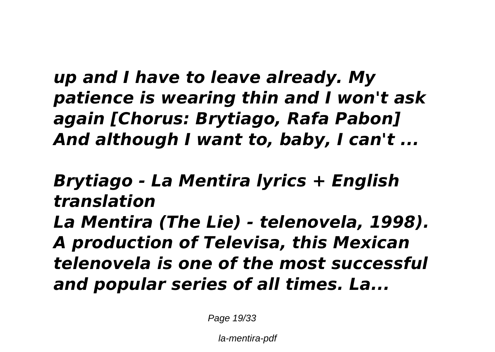*up and I have to leave already. My patience is wearing thin and I won't ask again [Chorus: Brytiago, Rafa Pabon] And although I want to, baby, I can't ...*

*Brytiago - La Mentira lyrics + English translation La Mentira (The Lie) - telenovela, 1998). A production of Televisa, this Mexican telenovela is one of the most successful and popular series of all times. La...*

Page 19/33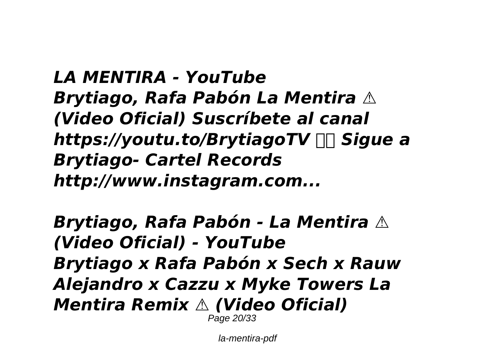*LA MENTIRA - YouTube Brytiago, Rafa Pabón La Mentira ⚠ (Video Oficial) Suscríbete al canal https://youtu.to/BrytiagoTV Sigue a Brytiago- Cartel Records http://www.instagram.com...*

*Brytiago, Rafa Pabón - La Mentira ⚠ (Video Oficial) - YouTube Brytiago x Rafa Pabón x Sech x Rauw Alejandro x Cazzu x Myke Towers La Mentira Remix ⚠ (Video Oficial)* Page 20/33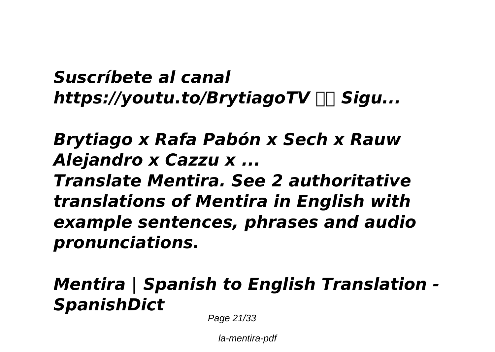### *Suscríbete al canal https://youtu.to/BrytiagoTV Sigu...*

# *Brytiago x Rafa Pabón x Sech x Rauw Alejandro x Cazzu x ... Translate Mentira. See 2 authoritative translations of Mentira in English with example sentences, phrases and audio pronunciations.*

## *Mentira | Spanish to English Translation - SpanishDict*

Page 21/33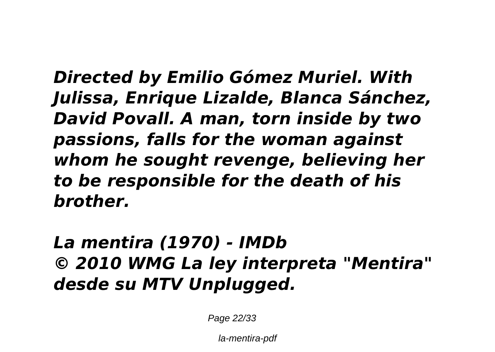*Directed by Emilio Gómez Muriel. With Julissa, Enrique Lizalde, Blanca Sánchez, David Povall. A man, torn inside by two passions, falls for the woman against whom he sought revenge, believing her to be responsible for the death of his brother.*

*La mentira (1970) - IMDb © 2010 WMG La ley interpreta "Mentira" desde su MTV Unplugged.*

Page 22/33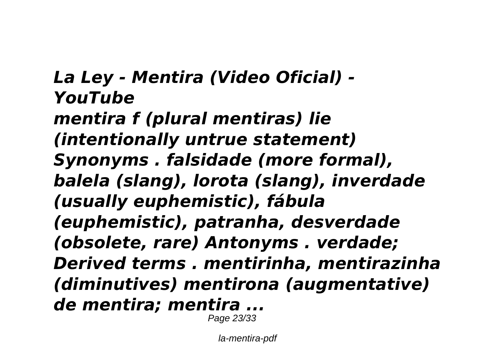*La Ley - Mentira (Video Oficial) - YouTube mentira f (plural mentiras) lie (intentionally untrue statement) Synonyms . falsidade (more formal), balela (slang), lorota (slang), inverdade (usually euphemistic), fábula (euphemistic), patranha, desverdade (obsolete, rare) Antonyms . verdade; Derived terms . mentirinha, mentirazinha (diminutives) mentirona (augmentative) de mentira; mentira ...* Page 23/33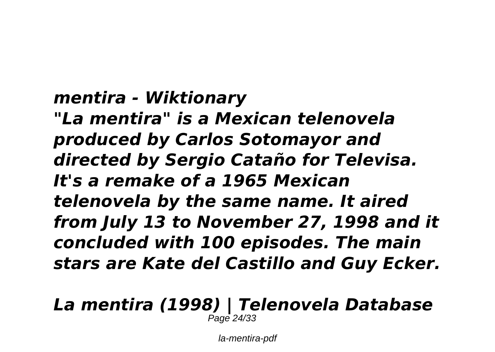### *mentira - Wiktionary*

*"La mentira" is a Mexican telenovela produced by Carlos Sotomayor and directed by Sergio Cataño for Televisa. It's a remake of a 1965 Mexican telenovela by the same name. It aired from July 13 to November 27, 1998 and it concluded with 100 episodes. The main stars are Kate del Castillo and Guy Ecker.*

#### *La mentira (1998) | Telenovela Database* Page 24/33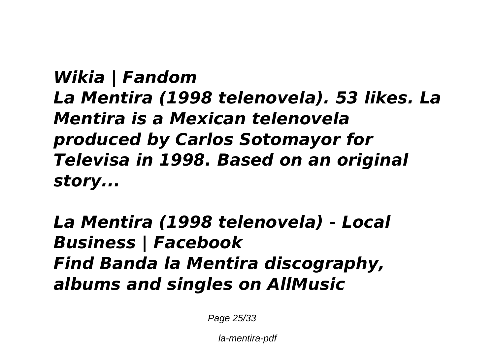*Wikia | Fandom La Mentira (1998 telenovela). 53 likes. La Mentira is a Mexican telenovela produced by Carlos Sotomayor for Televisa in 1998. Based on an original story...*

*La Mentira (1998 telenovela) - Local Business | Facebook Find Banda la Mentira discography, albums and singles on AllMusic*

Page 25/33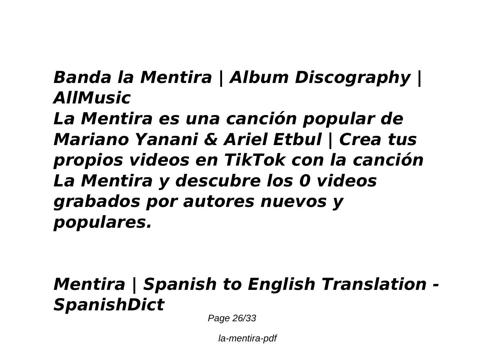*Banda la Mentira | Album Discography | AllMusic*

*La Mentira es una canción popular de Mariano Yanani & Ariel Etbul | Crea tus propios videos en TikTok con la canción La Mentira y descubre los 0 videos grabados por autores nuevos y populares.*

### *Mentira | Spanish to English Translation - SpanishDict*

Page 26/33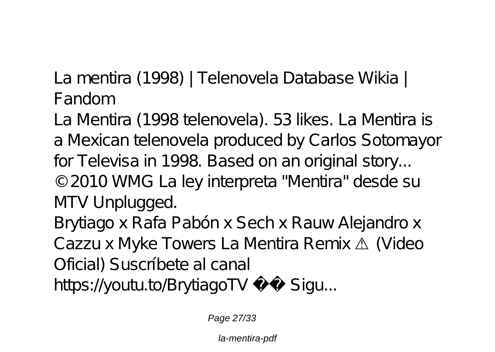*La mentira (1998) | Telenovela Database Wikia | Fandom*

La Mentira (1998 telenovela). 53 likes. La Mentira is a Mexican telenovela produced by Carlos Sotomayor for Televisa in 1998. Based on an original story... © 2010 WMG La ley interpreta "Mentira" desde su MTV Unplugged. Brytiago x Rafa Pabón x Sech x Rauw Alejandro x Cazzu x Myke Towers La Mentira Remix ⚠ (Video Oficial) Suscríbete al canal

https://youtu.to/BrytiagoTV Sigu...

Page 27/33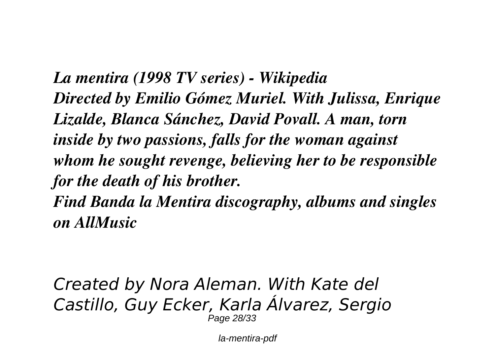*La mentira (1998 TV series) - Wikipedia Directed by Emilio Gómez Muriel. With Julissa, Enrique Lizalde, Blanca Sánchez, David Povall. A man, torn inside by two passions, falls for the woman against whom he sought revenge, believing her to be responsible for the death of his brother. Find Banda la Mentira discography, albums and singles*

*on AllMusic*

*Created by Nora Aleman. With Kate del Castillo, Guy Ecker, Karla Álvarez, Sergio* Page 28/33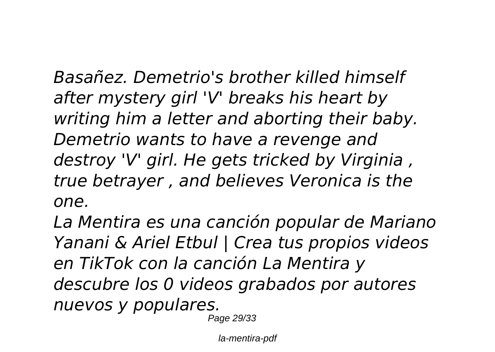*Basañez. Demetrio's brother killed himself after mystery girl 'V' breaks his heart by writing him a letter and aborting their baby. Demetrio wants to have a revenge and destroy 'V' girl. He gets tricked by Virginia , true betrayer , and believes Veronica is the one.*

*La Mentira es una canción popular de Mariano Yanani & Ariel Etbul | Crea tus propios videos en TikTok con la canción La Mentira y descubre los 0 videos grabados por autores nuevos y populares.*

Page 29/33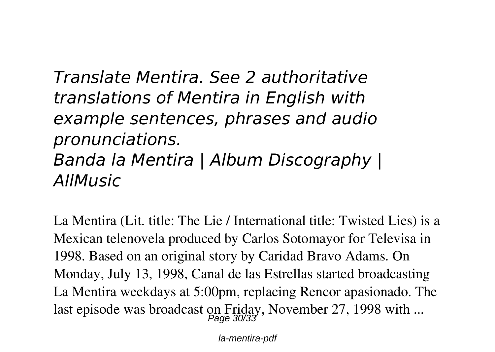*Translate Mentira. See 2 authoritative translations of Mentira in English with example sentences, phrases and audio pronunciations. Banda la Mentira | Album Discography | AllMusic*

La Mentira (Lit. title: The Lie / International title: Twisted Lies) is a Mexican telenovela produced by Carlos Sotomayor for Televisa in 1998. Based on an original story by Caridad Bravo Adams. On Monday, July 13, 1998, Canal de las Estrellas started broadcasting La Mentira weekdays at 5:00pm, replacing Rencor apasionado. The last episode was broadcast on Friday, November 27, 1998 with ...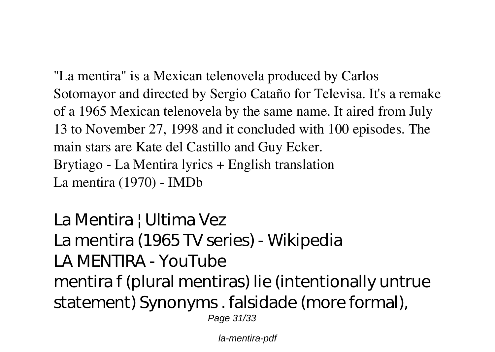"La mentira" is a Mexican telenovela produced by Carlos Sotomayor and directed by Sergio Cataño for Televisa. It's a remake of a 1965 Mexican telenovela by the same name. It aired from July 13 to November 27, 1998 and it concluded with 100 episodes. The main stars are Kate del Castillo and Guy Ecker. *Brytiago - La Mentira lyrics + English translation La mentira (1970) - IMDb*

*La Mentira | Ultima Vez La mentira (1965 TV series) - Wikipedia LA MENTIRA - YouTube* mentira f (plural mentiras) lie (intentionally untrue statement) Synonyms . falsidade (more formal), Page 31/33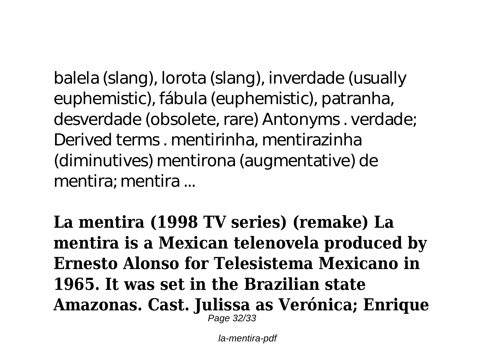balela (slang), lorota (slang), inverdade (usually euphemistic), fábula (euphemistic), patranha, desverdade (obsolete, rare) Antonyms . verdade; Derived terms . mentirinha, mentirazinha (diminutives) mentirona (augmentative) de mentira; mentira ...

**La mentira (1998 TV series) (remake) La mentira is a Mexican telenovela produced by Ernesto Alonso for Telesistema Mexicano in 1965. It was set in the Brazilian state Amazonas. Cast. Julissa as Verónica; Enrique** Page 32/33